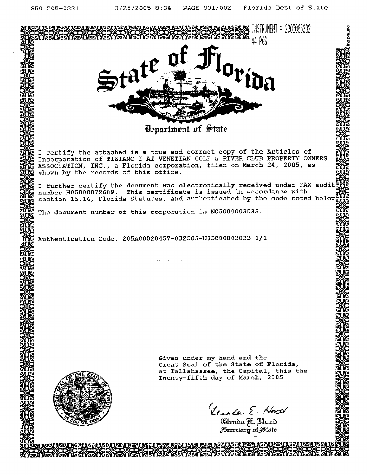